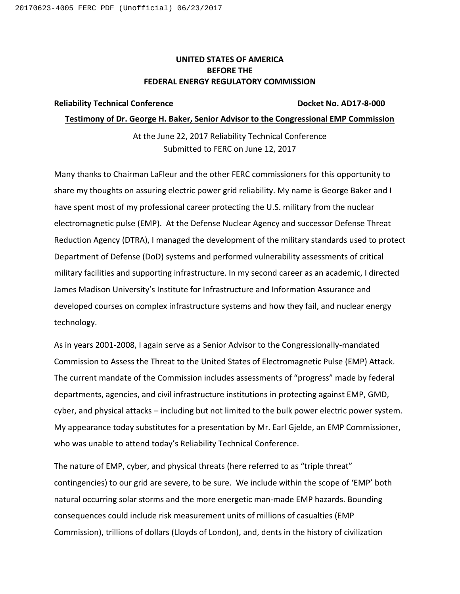## **UNITED STATES OF AMERICA BEFORE THE FEDERAL ENERGY REGULATORY COMMISSION**

#### **Reliability Technical Conference Docket No. AD17-8-000**

#### **Testimony of Dr. George H. Baker, Senior Advisor to the Congressional EMP Commission**

At the June 22, 2017 Reliability Technical Conference Submitted to FERC on June 12, 2017

Many thanks to Chairman LaFleur and the other FERC commissioners for this opportunity to share my thoughts on assuring electric power grid reliability. My name is George Baker and I have spent most of my professional career protecting the U.S. military from the nuclear electromagnetic pulse (EMP). At the Defense Nuclear Agency and successor Defense Threat Reduction Agency (DTRA), I managed the development of the military standards used to protect Department of Defense (DoD) systems and performed vulnerability assessments of critical military facilities and supporting infrastructure. In my second career as an academic, I directed James Madison University's Institute for Infrastructure and Information Assurance and developed courses on complex infrastructure systems and how they fail, and nuclear energy technology.

As in years 2001-2008, I again serve as a Senior Advisor to the Congressionally-mandated Commission to Assess the Threat to the United States of Electromagnetic Pulse (EMP) Attack. The current mandate of the Commission includes assessments of "progress" made by federal departments, agencies, and civil infrastructure institutions in protecting against EMP, GMD, cyber, and physical attacks – including but not limited to the bulk power electric power system. My appearance today substitutes for a presentation by Mr. Earl Gjelde, an EMP Commissioner, who was unable to attend today's Reliability Technical Conference.

The nature of EMP, cyber, and physical threats (here referred to as "triple threat" contingencies) to our grid are severe, to be sure. We include within the scope of 'EMP' both natural occurring solar storms and the more energetic man-made EMP hazards. Bounding consequences could include risk measurement units of millions of casualties (EMP Commission), trillions of dollars (Lloyds of London), and, dents in the history of civilization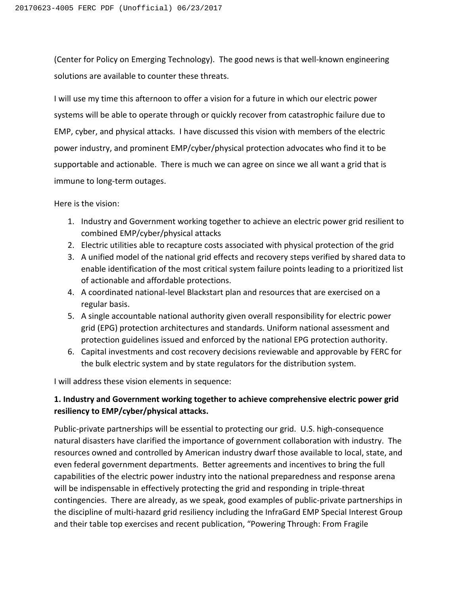(Center for Policy on Emerging Technology). The good news is that well-known engineering solutions are available to counter these threats.

I will use my time this afternoon to offer a vision for a future in which our electric power systems will be able to operate through or quickly recover from catastrophic failure due to EMP, cyber, and physical attacks. I have discussed this vision with members of the electric power industry, and prominent EMP/cyber/physical protection advocates who find it to be supportable and actionable. There is much we can agree on since we all want a grid that is immune to long-term outages.

Here is the vision:

- 1. Industry and Government working together to achieve an electric power grid resilient to combined EMP/cyber/physical attacks
- 2. Electric utilities able to recapture costs associated with physical protection of the grid
- 3. A unified model of the national grid effects and recovery steps verified by shared data to enable identification of the most critical system failure points leading to a prioritized list of actionable and affordable protections.
- 4. A coordinated national-level Blackstart plan and resources that are exercised on a regular basis.
- 5. A single accountable national authority given overall responsibility for electric power grid (EPG) protection architectures and standards. Uniform national assessment and protection guidelines issued and enforced by the national EPG protection authority.
- 6. Capital investments and cost recovery decisions reviewable and approvable by FERC for the bulk electric system and by state regulators for the distribution system.

I will address these vision elements in sequence:

# **1. Industry and Government working together to achieve comprehensive electric power grid resiliency to EMP/cyber/physical attacks.**

Public-private partnerships will be essential to protecting our grid. U.S. high-consequence natural disasters have clarified the importance of government collaboration with industry. The resources owned and controlled by American industry dwarf those available to local, state, and even federal government departments. Better agreements and incentives to bring the full capabilities of the electric power industry into the national preparedness and response arena will be indispensable in effectively protecting the grid and responding in triple-threat contingencies. There are already, as we speak, good examples of public-private partnerships in the discipline of multi-hazard grid resiliency including the InfraGard EMP Special Interest Group and their table top exercises and recent publication, "Powering Through: From Fragile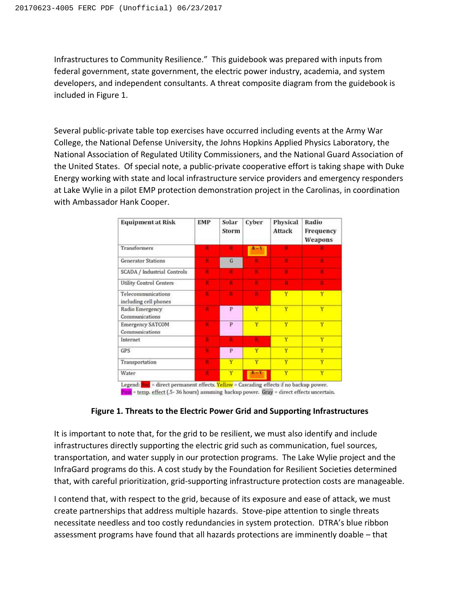Infrastructures to Community Resilience." This guidebook was prepared with inputs from federal government, state government, the electric power industry, academia, and system developers, and independent consultants. A threat composite diagram from the guidebook is included in Figure 1.

Several public-private table top exercises have occurred including events at the Army War College, the National Defense University, the Johns Hopkins Applied Physics Laboratory, the National Association of Regulated Utility Commissioners, and the National Guard Association of the United States. Of special note, a public-private cooperative effort is taking shape with Duke Energy working with state and local infrastructure service providers and emergency responders at Lake Wylie in a pilot EMP protection demonstration project in the Carolinas, in coordination with Ambassador Hank Cooper.

| <b>Equipment at Risk</b>                    | <b>EMP</b> | Solar<br>Storm | Cyber   | Physical<br><b>Attack</b> | Radio<br>Frequency<br>Weapons |
|---------------------------------------------|------------|----------------|---------|---------------------------|-------------------------------|
| Transformers                                | R          | $\mathbf{R}$   | $R - Y$ | R                         |                               |
| <b>Generator Stations</b>                   | ж          | G              | п       |                           |                               |
| SCADA / Industrial Controls                 | R          | $\mathbf{R}$   | R       | ×                         | п                             |
| Utility Control Centers                     | R          | ĸ              | R.      | п                         | п                             |
| Telecommunications<br>including cell phones | я          | ×              | к       | Y                         | Ÿ                             |
| Radio Emergency<br>Communications           | ×          | P              | Ÿ       | Ÿ                         | Ÿ                             |
| <b>Emergency SATCOM</b><br>Communications   | R          | P              | Y       | Ÿ                         | Ÿ                             |
| Internet                                    | R          | R              | R       | Y                         | Y                             |
| GPS                                         | R          | P              | Ÿ       | Ÿ                         | Ÿ                             |
| Transportation                              | R          | Ÿ              | Ÿ       | Ÿ                         | Y                             |
| Water                                       | ٠          | Y              | $R = Y$ | Ÿ                         | Ÿ                             |

Pink = temp. effect (.5-36 hours) assuming backup power. Gray = direct effects uncertain.

## **Figure 1. Threats to the Electric Power Grid and Supporting Infrastructures**

It is important to note that, for the grid to be resilient, we must also identify and include infrastructures directly supporting the electric grid such as communication, fuel sources, transportation, and water supply in our protection programs. The Lake Wylie project and the InfraGard programs do this. A cost study by the Foundation for Resilient Societies determined that, with careful prioritization, grid-supporting infrastructure protection costs are manageable.

I contend that, with respect to the grid, because of its exposure and ease of attack, we must create partnerships that address multiple hazards. Stove-pipe attention to single threats necessitate needless and too costly redundancies in system protection. DTRA's blue ribbon assessment programs have found that all hazards protections are imminently doable – that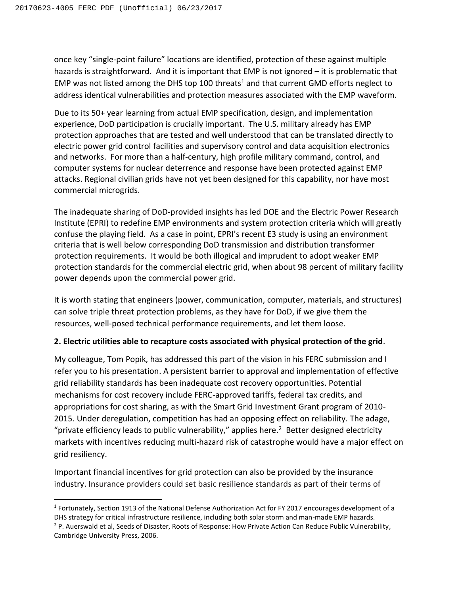$\overline{a}$ 

once key "single-point failure" locations are identified, protection of these against multiple hazards is straightforward. And it is important that EMP is not ignored – it is problematic that EMP was not listed among the DHS top 100 threats<sup>1</sup> and that current GMD efforts neglect to address identical vulnerabilities and protection measures associated with the EMP waveform.

Due to its 50+ year learning from actual EMP specification, design, and implementation experience, DoD participation is crucially important. The U.S. military already has EMP protection approaches that are tested and well understood that can be translated directly to electric power grid control facilities and supervisory control and data acquisition electronics and networks. For more than a half‐century, high profile military command, control, and computer systems for nuclear deterrence and response have been protected against EMP attacks. Regional civilian grids have not yet been designed for this capability, nor have most commercial microgrids.

The inadequate sharing of DoD-provided insights has led DOE and the Electric Power Research Institute (EPRI) to redefine EMP environments and system protection criteria which will greatly confuse the playing field. As a case in point, EPRI's recent E3 study is using an environment criteria that is well below corresponding DoD transmission and distribution transformer protection requirements. It would be both illogical and imprudent to adopt weaker EMP protection standards for the commercial electric grid, when about 98 percent of military facility power depends upon the commercial power grid.

It is worth stating that engineers (power, communication, computer, materials, and structures) can solve triple threat protection problems, as they have for DoD, if we give them the resources, well-posed technical performance requirements, and let them loose.

#### **2. Electric utilities able to recapture costs associated with physical protection of the grid**.

My colleague, Tom Popik, has addressed this part of the vision in his FERC submission and I refer you to his presentation. A persistent barrier to approval and implementation of effective grid reliability standards has been inadequate cost recovery opportunities. Potential mechanisms for cost recovery include FERC-approved tariffs, federal tax credits, and appropriations for cost sharing, as with the Smart Grid Investment Grant program of 2010- 2015. Under deregulation, competition has had an opposing effect on reliability. The adage, "private efficiency leads to public vulnerability," applies here.<sup>2</sup> Better designed electricity markets with incentives reducing multi-hazard risk of catastrophe would have a major effect on grid resiliency.

Important financial incentives for grid protection can also be provided by the insurance industry. Insurance providers could set basic resilience standards as part of their terms of

<sup>1</sup> Fortunately, Section 1913 of the National Defense Authorization Act for FY 2017 encourages development of a DHS strategy for critical infrastructure resilience, including both solar storm and man-made EMP hazards. <sup>2</sup> P. Auerswald et al, Seeds of Disaster, Roots of Response: How Private Action Can Reduce Public Vulnerability, Cambridge University Press, 2006.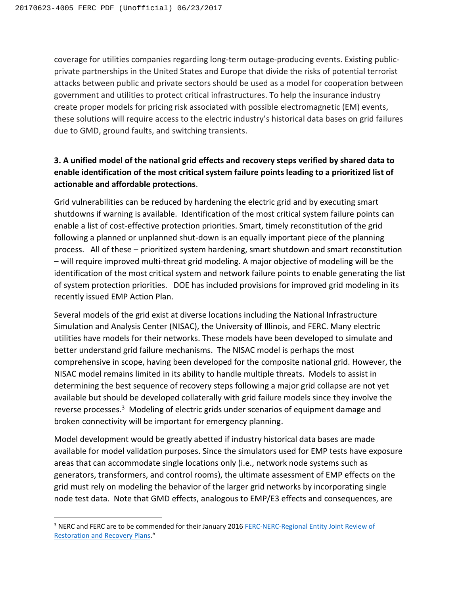coverage for utilities companies regarding long-term outage-producing events. Existing publicprivate partnerships in the United States and Europe that divide the risks of potential terrorist attacks between public and private sectors should be used as a model for cooperation between government and utilities to protect critical infrastructures. To help the insurance industry create proper models for pricing risk associated with possible electromagnetic (EM) events, these solutions will require access to the electric industry's historical data bases on grid failures due to GMD, ground faults, and switching transients.

# **3. A unified model of the national grid effects and recovery steps verified by shared data to enable identification of the most critical system failure points leading to a prioritized list of actionable and affordable protections**.

Grid vulnerabilities can be reduced by hardening the electric grid and by executing smart shutdowns if warning is available. Identification of the most critical system failure points can enable a list of cost-effective protection priorities. Smart, timely reconstitution of the grid following a planned or unplanned shut-down is an equally important piece of the planning process. All of these – prioritized system hardening, smart shutdown and smart reconstitution – will require improved multi-threat grid modeling. A major objective of modeling will be the identification of the most critical system and network failure points to enable generating the list of system protection priorities. DOE has included provisions for improved grid modeling in its recently issued EMP Action Plan.

Several models of the grid exist at diverse locations including the National Infrastructure Simulation and Analysis Center (NISAC), the University of Illinois, and FERC. Many electric utilities have models for their networks. These models have been developed to simulate and better understand grid failure mechanisms. The NISAC model is perhaps the most comprehensive in scope, having been developed for the composite national grid. However, the NISAC model remains limited in its ability to handle multiple threats. Models to assist in determining the best sequence of recovery steps following a major grid collapse are not yet available but should be developed collaterally with grid failure models since they involve the reverse processes.<sup>3</sup> Modeling of electric grids under scenarios of equipment damage and broken connectivity will be important for emergency planning.

Model development would be greatly abetted if industry historical data bases are made available for model validation purposes. Since the simulators used for EMP tests have exposure areas that can accommodate single locations only (i.e., network node systems such as generators, transformers, and control rooms), the ultimate assessment of EMP effects on the grid must rely on modeling the behavior of the larger grid networks by incorporating single node test data. Note that GMD effects, analogous to EMP/E3 effects and consequences, are

l

<sup>&</sup>lt;sup>3</sup> NERC and FERC are to be commended for their January 2016 FERC-NERC-Regional Entity Joint Review of [Restoration and Recovery Plans.](https://www.ferc.gov/legal/staff-reports/2016/01-29-16-FERC-NERC-Report.pdf)"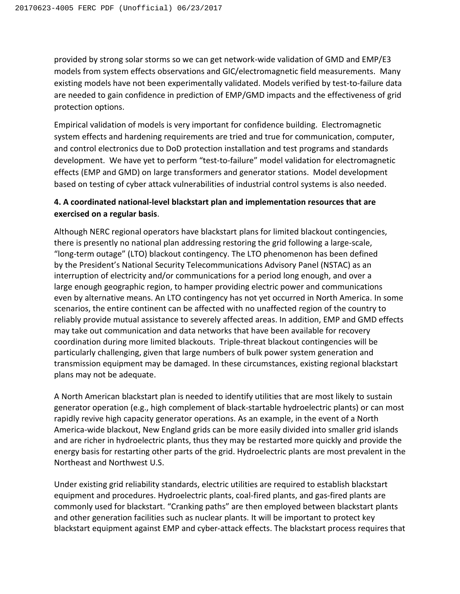provided by strong solar storms so we can get network-wide validation of GMD and EMP/E3 models from system effects observations and GIC/electromagnetic field measurements. Many existing models have not been experimentally validated. Models verified by test-to-failure data are needed to gain confidence in prediction of EMP/GMD impacts and the effectiveness of grid protection options.

Empirical validation of models is very important for confidence building. Electromagnetic system effects and hardening requirements are tried and true for communication, computer, and control electronics due to DoD protection installation and test programs and standards development. We have yet to perform "test-to-failure" model validation for electromagnetic effects (EMP and GMD) on large transformers and generator stations. Model development based on testing of cyber attack vulnerabilities of industrial control systems is also needed.

## **4. A coordinated national-level blackstart plan and implementation resources that are exercised on a regular basis**.

Although NERC regional operators have blackstart plans for limited blackout contingencies, there is presently no national plan addressing restoring the grid following a large‐scale, "long‐term outage" (LTO) blackout contingency. The LTO phenomenon has been defined by the President's National Security Telecommunications Advisory Panel (NSTAC) as an interruption of electricity and/or communications for a period long enough, and over a large enough geographic region, to hamper providing electric power and communications even by alternative means. An LTO contingency has not yet occurred in North America. In some scenarios, the entire continent can be affected with no unaffected region of the country to reliably provide mutual assistance to severely affected areas. In addition, EMP and GMD effects may take out communication and data networks that have been available for recovery coordination during more limited blackouts. Triple‐threat blackout contingencies will be particularly challenging, given that large numbers of bulk power system generation and transmission equipment may be damaged. In these circumstances, existing regional blackstart plans may not be adequate.

A North American blackstart plan is needed to identify utilities that are most likely to sustain generator operation (e.g., high complement of black-startable hydroelectric plants) or can most rapidly revive high capacity generator operations. As an example, in the event of a North America‐wide blackout, New England grids can be more easily divided into smaller grid islands and are richer in hydroelectric plants, thus they may be restarted more quickly and provide the energy basis for restarting other parts of the grid. Hydroelectric plants are most prevalent in the Northeast and Northwest U.S.

Under existing grid reliability standards, electric utilities are required to establish blackstart equipment and procedures. Hydroelectric plants, coal-fired plants, and gas-fired plants are commonly used for blackstart. "Cranking paths" are then employed between blackstart plants and other generation facilities such as nuclear plants. It will be important to protect key blackstart equipment against EMP and cyber‐attack effects. The blackstart process requires that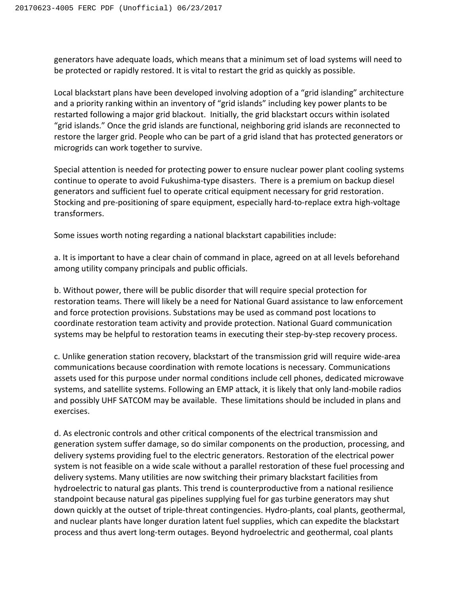generators have adequate loads, which means that a minimum set of load systems will need to be protected or rapidly restored. It is vital to restart the grid as quickly as possible.

Local blackstart plans have been developed involving adoption of a "grid islanding" architecture and a priority ranking within an inventory of "grid islands" including key power plants to be restarted following a major grid blackout. Initially, the grid blackstart occurs within isolated "grid islands." Once the grid islands are functional, neighboring grid islands are reconnected to restore the larger grid. People who can be part of a grid island that has protected generators or microgrids can work together to survive.

Special attention is needed for protecting power to ensure nuclear power plant cooling systems continue to operate to avoid Fukushima‐type disasters. There is a premium on backup diesel generators and sufficient fuel to operate critical equipment necessary for grid restoration. Stocking and pre‐positioning of spare equipment, especially hard‐to‐replace extra high‐voltage transformers.

Some issues worth noting regarding a national blackstart capabilities include:

a. It is important to have a clear chain of command in place, agreed on at all levels beforehand among utility company principals and public officials.

b. Without power, there will be public disorder that will require special protection for restoration teams. There will likely be a need for National Guard assistance to law enforcement and force protection provisions. Substations may be used as command post locations to coordinate restoration team activity and provide protection. National Guard communication systems may be helpful to restoration teams in executing their step-by-step recovery process.

c. Unlike generation station recovery, blackstart of the transmission grid will require wide‐area communications because coordination with remote locations is necessary. Communications assets used for this purpose under normal conditions include cell phones, dedicated microwave systems, and satellite systems. Following an EMP attack, it is likely that only land‐mobile radios and possibly UHF SATCOM may be available. These limitations should be included in plans and exercises.

d. As electronic controls and other critical components of the electrical transmission and generation system suffer damage, so do similar components on the production, processing, and delivery systems providing fuel to the electric generators. Restoration of the electrical power system is not feasible on a wide scale without a parallel restoration of these fuel processing and delivery systems. Many utilities are now switching their primary blackstart facilities from hydroelectric to natural gas plants. This trend is counterproductive from a national resilience standpoint because natural gas pipelines supplying fuel for gas turbine generators may shut down quickly at the outset of triple‐threat contingencies. Hydro‐plants, coal plants, geothermal, and nuclear plants have longer duration latent fuel supplies, which can expedite the blackstart process and thus avert long-term outages. Beyond hydroelectric and geothermal, coal plants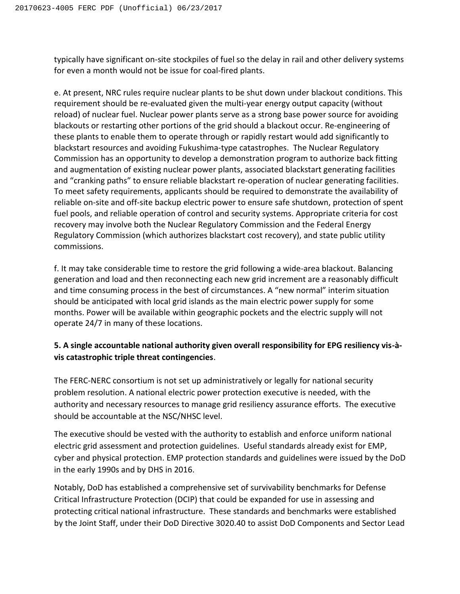typically have significant on-site stockpiles of fuel so the delay in rail and other delivery systems for even a month would not be issue for coal-fired plants.

e. At present, NRC rules require nuclear plants to be shut down under blackout conditions. This requirement should be re‐evaluated given the multi‐year energy output capacity (without reload) of nuclear fuel. Nuclear power plants serve as a strong base power source for avoiding blackouts or restarting other portions of the grid should a blackout occur. Re‐engineering of these plants to enable them to operate through or rapidly restart would add significantly to blackstart resources and avoiding Fukushima‐type catastrophes. The Nuclear Regulatory Commission has an opportunity to develop a demonstration program to authorize back fitting and augmentation of existing nuclear power plants, associated blackstart generating facilities and "cranking paths" to ensure reliable blackstart re-operation of nuclear generating facilities. To meet safety requirements, applicants should be required to demonstrate the availability of reliable on‐site and off‐site backup electric power to ensure safe shutdown, protection of spent fuel pools, and reliable operation of control and security systems. Appropriate criteria for cost recovery may involve both the Nuclear Regulatory Commission and the Federal Energy Regulatory Commission (which authorizes blackstart cost recovery), and state public utility commissions.

f. It may take considerable time to restore the grid following a wide-area blackout. Balancing generation and load and then reconnecting each new grid increment are a reasonably difficult and time consuming process in the best of circumstances. A "new normal" interim situation should be anticipated with local grid islands as the main electric power supply for some months. Power will be available within geographic pockets and the electric supply will not operate 24/7 in many of these locations.

# **5. A single accountable national authority given overall responsibility for EPG resiliency vis-àvis catastrophic triple threat contingencies**.

The FERC-NERC consortium is not set up administratively or legally for national security problem resolution. A national electric power protection executive is needed, with the authority and necessary resources to manage grid resiliency assurance efforts. The executive should be accountable at the NSC/NHSC level.

The executive should be vested with the authority to establish and enforce uniform national electric grid assessment and protection guidelines. Useful standards already exist for EMP, cyber and physical protection. EMP protection standards and guidelines were issued by the DoD in the early 1990s and by DHS in 2016.

Notably, DoD has established a comprehensive set of survivability benchmarks for Defense Critical Infrastructure Protection (DCIP) that could be expanded for use in assessing and protecting critical national infrastructure. These standards and benchmarks were established by the Joint Staff, under their DoD Directive 3020.40 to assist DoD Components and Sector Lead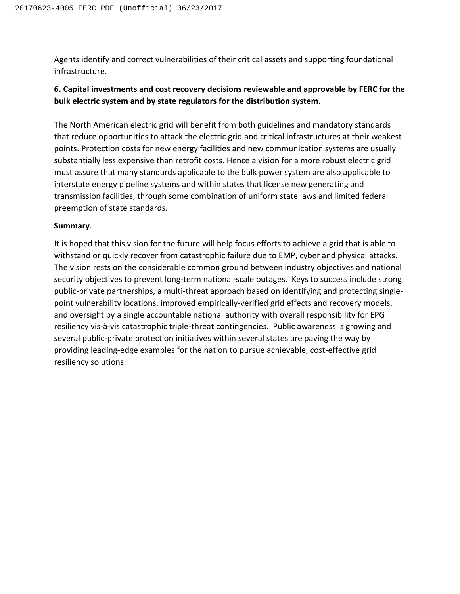Agents identify and correct vulnerabilities of their critical assets and supporting foundational infrastructure.

# **6. Capital investments and cost recovery decisions reviewable and approvable by FERC for the bulk electric system and by state regulators for the distribution system.**

The North American electric grid will benefit from both guidelines and mandatory standards that reduce opportunities to attack the electric grid and critical infrastructures at their weakest points. Protection costs for new energy facilities and new communication systems are usually substantially less expensive than retrofit costs. Hence a vision for a more robust electric grid must assure that many standards applicable to the bulk power system are also applicable to interstate energy pipeline systems and within states that license new generating and transmission facilities, through some combination of uniform state laws and limited federal preemption of state standards.

### **Summary**.

It is hoped that this vision for the future will help focus efforts to achieve a grid that is able to withstand or quickly recover from catastrophic failure due to EMP, cyber and physical attacks. The vision rests on the considerable common ground between industry objectives and national security objectives to prevent long-term national-scale outages. Keys to success include strong public-private partnerships, a multi-threat approach based on identifying and protecting singlepoint vulnerability locations, improved empirically-verified grid effects and recovery models, and oversight by a single accountable national authority with overall responsibility for EPG resiliency vis-à-vis catastrophic triple-threat contingencies. Public awareness is growing and several public-private protection initiatives within several states are paving the way by providing leading-edge examples for the nation to pursue achievable, cost-effective grid resiliency solutions.